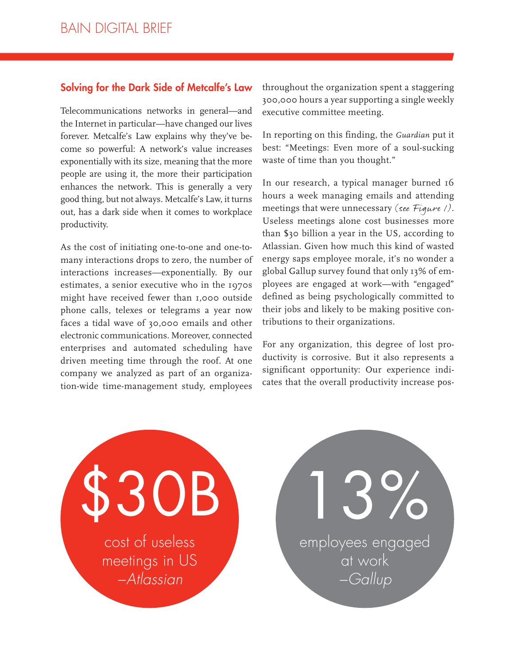## **Solving for the Dark Side of Metcalfe's Law**

Telecommunications networks in general—and the Internet in particular—have changed our lives forever. Metcalfe's Law explains why they've become so powerful: A network's value increases exponentially with its size, meaning that the more people are using it, the more their participation enhances the network. This is generally a very good thing, but not always. Metcalfe's Law, it turns out, has a dark side when it comes to workplace productivity.

As the cost of initiating one-to-one and one-tomany interactions drops to zero, the number of interactions increases—exponentially. By our estimates, a senior executive who in the 1970s might have received fewer than 1,000 outside phone calls, telexes or telegrams a year now faces a tidal wave of 30,000 emails and other electronic communications. Moreover, connected enterprises and automated scheduling have driven meeting time through the roof. At one company we analyzed as part of an organization-wide time-management study, employees

throughout the organization spent a staggering 300,000 hours a year supporting a single weekly executive committee meeting.

In reporting on this finding, the *Guardian* put it best: "Meetings: Even more of a soul-sucking waste of time than you thought."

In our research, a typical manager burned 16 hours a week managing emails and attending meetings that were unnecessary (see Figure 1). Useless meetings alone cost businesses more than \$30 billion a year in the US, according to Atlassian. Given how much this kind of wasted energy saps employee morale, it's no wonder a global Gallup survey found that only 13% of employees are engaged at work—with "engaged" defined as being psychologically committed to their jobs and likely to be making positive contributions to their organizations.

For any organization, this degree of lost productivity is corrosive. But it also represents a significant opportunity: Our experience indicates that the overall productivity increase pos-

cost of useless meetings in US −Atlassian **OB**  employees engaged at work −Gallup 13%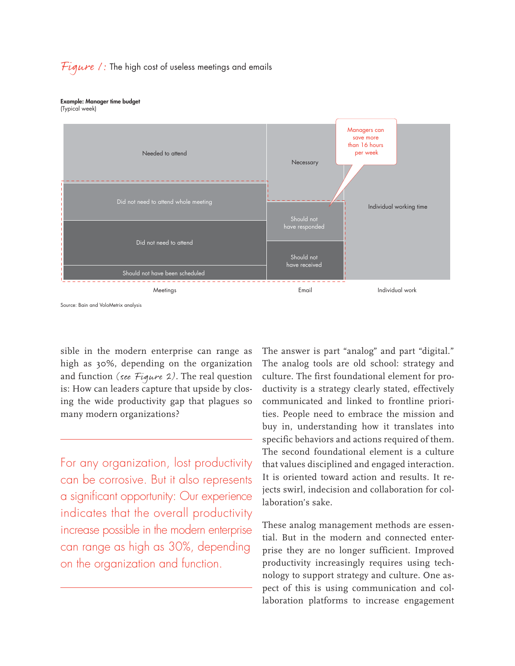## Figure 1: The high cost of useless meetings and emails

## **Example: Manager time budget**

(Typical week)



Source: Bain and VoloMetrix analysis

sible in the modern enterprise can range as high as 30%, depending on the organization and function (see  $Figure 2$ ). The real question is: How can leaders capture that upside by closing the wide productivity gap that plagues so many modern organizations?

For any organization, lost productivity can be corrosive. But it also represents a significant opportunity: Our experience indicates that the overall productivity increase possible in the modern enterprise can range as high as 30%, depending on the organization and function.

The answer is part "analog" and part "digital." The analog tools are old school: strategy and culture. The first foundational element for productivity is a strategy clearly stated, effectively communicated and linked to frontline priorities. People need to embrace the mission and buy in, understanding how it translates into specific behaviors and actions required of them. The second foundational element is a culture that values disciplined and engaged interaction. It is oriented toward action and results. It rejects swirl, indecision and collaboration for collaboration's sake.

These analog management methods are essential. But in the modern and connected enterprise they are no longer sufficient. Improved productivity increasingly requires using technology to support strategy and culture. One aspect of this is using communication and collaboration platforms to increase engagement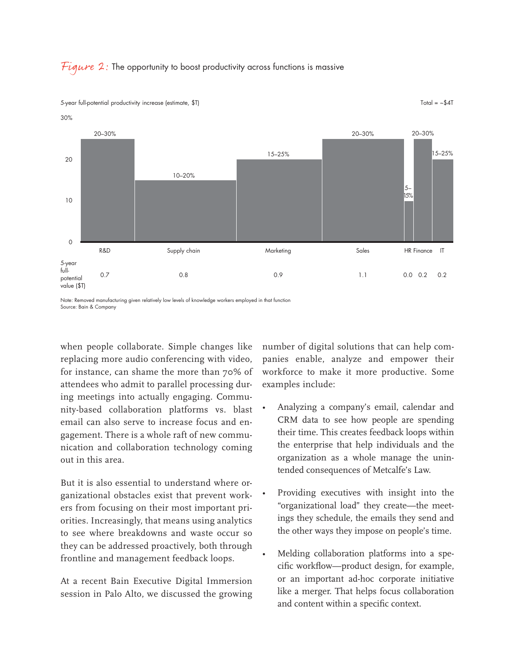



5-year full-potential productivity increase (estimate, \$T)

Total =  $~54$ T

Note: Removed manufacturing given relatively low levels of knowledge workers employed in that function Source: Bain & Company

when people collaborate. Simple changes like replacing more audio conferencing with video, for instance, can shame the more than 70% of attendees who admit to parallel processing during meetings into actually engaging. Community-based collaboration platforms vs. blast email can also serve to increase focus and engagement. There is a whole raft of new communication and collaboration technology coming out in this area.

But it is also essential to understand where organizational obstacles exist that prevent workers from focusing on their most important priorities. Increasingly, that means using analytics to see where breakdowns and waste occur so they can be addressed proactively, both through frontline and management feedback loops.

At a recent Bain Executive Digital Immersion session in Palo Alto, we discussed the growing number of digital solutions that can help companies enable, analyze and empower their workforce to make it more productive. Some examples include:

- Analyzing a company's email, calendar and CRM data to see how people are spending their time. This creates feedback loops within the enterprise that help individuals and the organization as a whole manage the unintended consequences of Metcalfe's Law.
- Providing executives with insight into the "organizational load" they create—the meetings they schedule, the emails they send and the other ways they impose on people's time.
- Melding collaboration platforms into a specific workflow—product design, for example, or an important ad-hoc corporate initiative like a merger. That helps focus collaboration and content within a specific context.